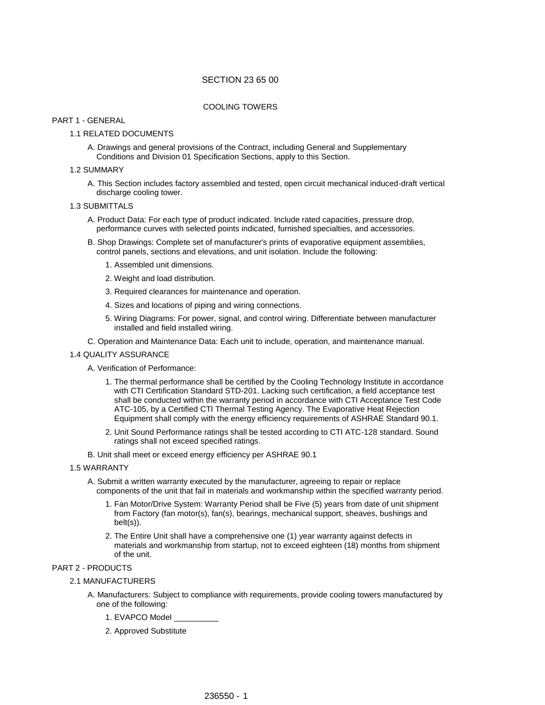# SECTION 23 65 00

# COOLING TOWERS

### PART 1 - GENERAL

## 1.1 RELATED DOCUMENTS

A. Drawings and general provisions of the Contract, including General and Supplementary Conditions and Division 01 Specification Sections, apply to this Section.

## 1.2 SUMMARY

A. This Section includes factory assembled and tested, open circuit mechanical induced-draft vertical discharge cooling tower.

# 1.3 SUBMITTALS

- A. Product Data: For each type of product indicated. Include rated capacities, pressure drop, performance curves with selected points indicated, furnished specialties, and accessories.
- B. Shop Drawings: Complete set of manufacturer's prints of evaporative equipment assemblies, control panels, sections and elevations, and unit isolation. Include the following:
	- 1. Assembled unit dimensions.
	- 2. Weight and load distribution.
	- 3. Required clearances for maintenance and operation.
	- 4. Sizes and locations of piping and wiring connections.
	- 5. Wiring Diagrams: For power, signal, and control wiring. Differentiate between manufacturer installed and field installed wiring.
- C. Operation and Maintenance Data: Each unit to include, operation, and maintenance manual.

## 1.4 QUALITY ASSURANCE

A. Verification of Performance:

- 1. The thermal performance shall be certified by the Cooling Technology Institute in accordance with CTI Certification Standard STD-201. Lacking such certification, a field acceptance test shall be conducted within the warranty period in accordance with CTI Acceptance Test Code ATC-105, by a Certified CTI Thermal Testing Agency. The Evaporative Heat Rejection Equipment shall comply with the energy efficiency requirements of ASHRAE Standard 90.1.
- 2. Unit Sound Performance ratings shall be tested according to CTI ATC-128 standard. Sound ratings shall not exceed specified ratings.
- B. Unit shall meet or exceed energy efficiency per ASHRAE 90.1
- 1.5 WARRANTY
	- A. Submit a written warranty executed by the manufacturer, agreeing to repair or replace components of the unit that fail in materials and workmanship within the specified warranty period.
		- 1. Fan Motor/Drive System: Warranty Period shall be Five (5) years from date of unit shipment from Factory (fan motor(s), fan(s), bearings, mechanical support, sheaves, bushings and belt(s)).
		- 2. The Entire Unit shall have a comprehensive one (1) year warranty against defects in materials and workmanship from startup, not to exceed eighteen (18) months from shipment of the unit.

# PART 2 - PRODUCTS

- 2.1 MANUFACTURERS
	- A. Manufacturers: Subject to compliance with requirements, provide cooling towers manufactured by one of the following:
		- 1. EVAPCO Model \_\_\_\_\_\_\_\_\_\_
		- 2. Approved Substitute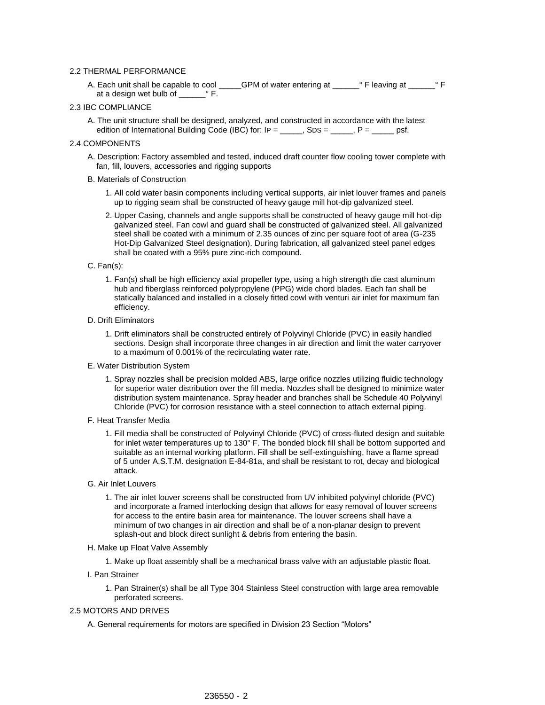## 2.2 THERMAL PERFORMANCE

A. Each unit shall be capable to cool \_\_\_\_\_GPM of water entering at \_\_\_\_\_\_° F leaving at \_\_\_\_\_\_ ° F at a design wet bulb of \_\_\_\_\_\_° F.

# 2.3 IBC COMPLIANCE

A. The unit structure shall be designed, analyzed, and constructed in accordance with the latest edition of International Building Code (IBC) for:  $IP =$  \_\_\_\_\_, SDS = \_\_\_\_, P = \_\_\_\_\_ psf.

### 2.4 COMPONENTS

A. Description: Factory assembled and tested, induced draft counter flow cooling tower complete with fan, fill, louvers, accessories and rigging supports

## B. Materials of Construction

- 1. All cold water basin components including vertical supports, air inlet louver frames and panels up to rigging seam shall be constructed of heavy gauge mill hot-dip galvanized steel.
- 2. Upper Casing, channels and angle supports shall be constructed of heavy gauge mill hot-dip galvanized steel. Fan cowl and guard shall be constructed of galvanized steel. All galvanized steel shall be coated with a minimum of 2.35 ounces of zinc per square foot of area (G-235 Hot-Dip Galvanized Steel designation). During fabrication, all galvanized steel panel edges shall be coated with a 95% pure zinc-rich compound.

### C. Fan(s):

- 1. Fan(s) shall be high efficiency axial propeller type, using a high strength die cast aluminum hub and fiberglass reinforced polypropylene (PPG) wide chord blades. Each fan shall be statically balanced and installed in a closely fitted cowl with venturi air inlet for maximum fan efficiency.
- D. Drift Eliminators
	- 1. Drift eliminators shall be constructed entirely of Polyvinyl Chloride (PVC) in easily handled sections. Design shall incorporate three changes in air direction and limit the water carryover to a maximum of 0.001% of the recirculating water rate.
- E. Water Distribution System
	- 1. Spray nozzles shall be precision molded ABS, large orifice nozzles utilizing fluidic technology for superior water distribution over the fill media. Nozzles shall be designed to minimize water distribution system maintenance. Spray header and branches shall be Schedule 40 Polyvinyl Chloride (PVC) for corrosion resistance with a steel connection to attach external piping.
- F. Heat Transfer Media
	- 1. Fill media shall be constructed of Polyvinyl Chloride (PVC) of cross-fluted design and suitable for inlet water temperatures up to 130° F. The bonded block fill shall be bottom supported and suitable as an internal working platform. Fill shall be self-extinguishing, have a flame spread of 5 under A.S.T.M. designation E-84-81a, and shall be resistant to rot, decay and biological attack.
- G. Air Inlet Louvers
	- 1. The air inlet louver screens shall be constructed from UV inhibited polyvinyl chloride (PVC) and incorporate a framed interlocking design that allows for easy removal of louver screens for access to the entire basin area for maintenance. The louver screens shall have a minimum of two changes in air direction and shall be of a non-planar design to prevent splash-out and block direct sunlight & debris from entering the basin.
- H. Make up Float Valve Assembly
	- 1. Make up float assembly shall be a mechanical brass valve with an adjustable plastic float.
- I. Pan Strainer
	- 1. Pan Strainer(s) shall be all Type 304 Stainless Steel construction with large area removable perforated screens.

## 2.5 MOTORS AND DRIVES

A. General requirements for motors are specified in Division 23 Section "Motors"